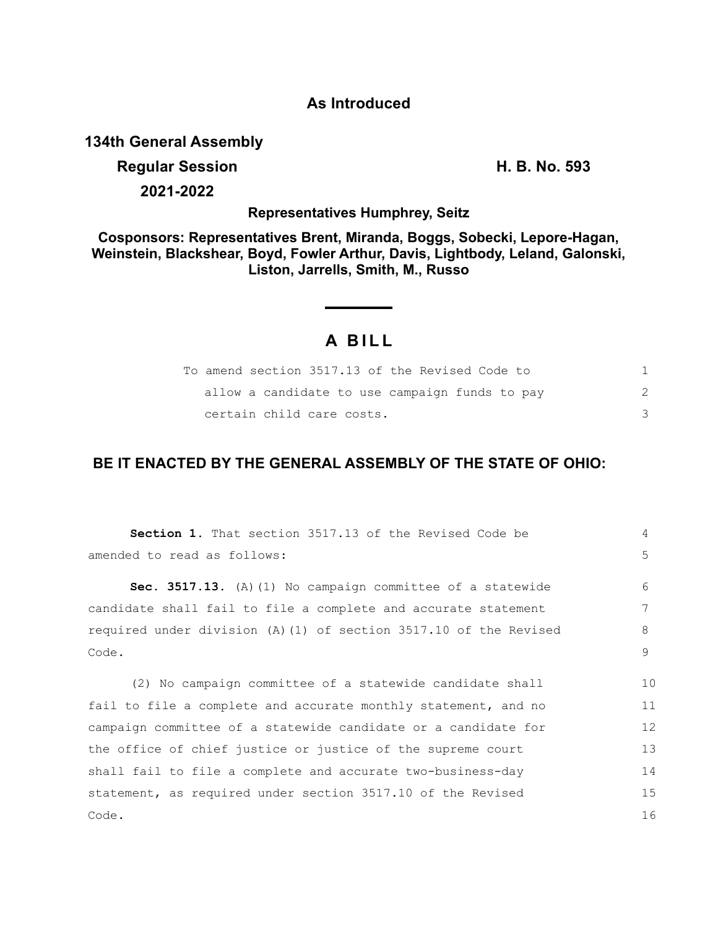## **As Introduced**

**134th General Assembly**

# **Regular Session H. B. No. 593**

**2021-2022**

## **Representatives Humphrey, Seitz**

## **Cosponsors: Representatives Brent, Miranda, Boggs, Sobecki, Lepore-Hagan, Weinstein, Blackshear, Boyd, Fowler Arthur, Davis, Lightbody, Leland, Galonski, Liston, Jarrells, Smith, M., Russo**

## **A B I L L**

| To amend section 3517.13 of the Revised Code to |  |
|-------------------------------------------------|--|
| allow a candidate to use campaign funds to pay  |  |
| certain child care costs.                       |  |

## **BE IT ENACTED BY THE GENERAL ASSEMBLY OF THE STATE OF OHIO:**

| Section 1. That section 3517.13 of the Revised Code be            | 4  |
|-------------------------------------------------------------------|----|
| amended to read as follows:                                       | 5  |
| Sec. 3517.13. (A) (1) No campaign committee of a statewide        | 6  |
| candidate shall fail to file a complete and accurate statement    | 7  |
| required under division (A) (1) of section 3517.10 of the Revised | 8  |
| Code.                                                             | 9  |
| (2) No campaign committee of a statewide candidate shall          | 10 |
| fail to file a complete and accurate monthly statement, and no    | 11 |
| campaign committee of a statewide candidate or a candidate for    | 12 |
| the office of chief justice or justice of the supreme court       | 13 |
| shall fail to file a complete and accurate two-business-day       | 14 |
| statement, as required under section 3517.10 of the Revised       | 15 |
| Code.                                                             | 16 |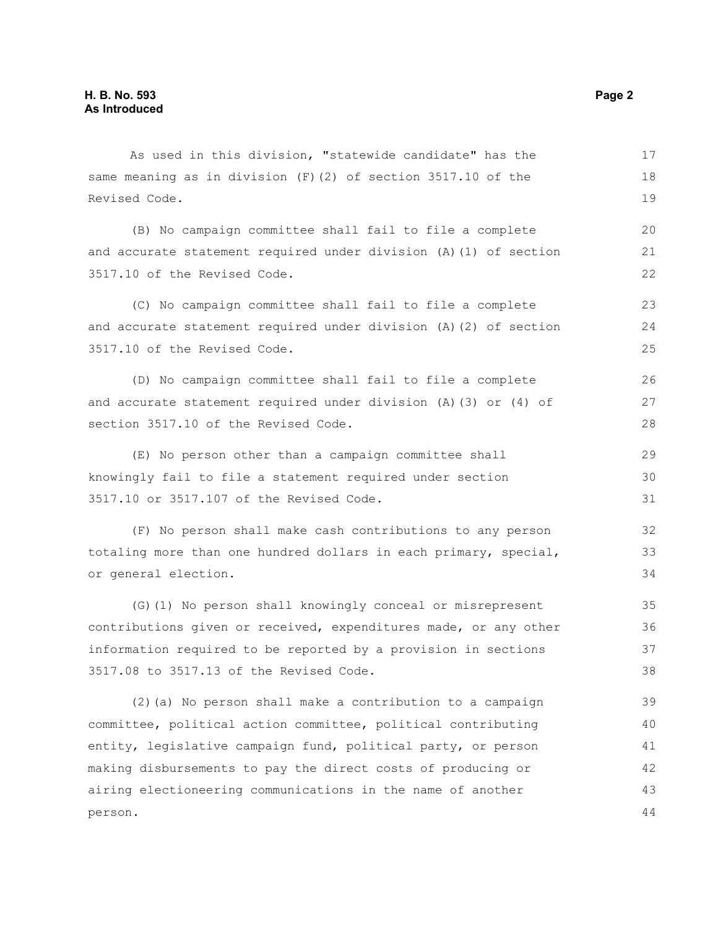As used in this division, "statewide candidate" has the same meaning as in division (F)(2) of section 3517.10 of the Revised Code.

(B) No campaign committee shall fail to file a complete and accurate statement required under division (A)(1) of section 3517.10 of the Revised Code.

(C) No campaign committee shall fail to file a complete and accurate statement required under division (A)(2) of section 3517.10 of the Revised Code. 23 24 25

(D) No campaign committee shall fail to file a complete and accurate statement required under division (A)(3) or (4) of section 3517.10 of the Revised Code.

(E) No person other than a campaign committee shall knowingly fail to file a statement required under section 3517.10 or 3517.107 of the Revised Code.

(F) No person shall make cash contributions to any person totaling more than one hundred dollars in each primary, special, or general election.

(G)(1) No person shall knowingly conceal or misrepresent contributions given or received, expenditures made, or any other information required to be reported by a provision in sections 3517.08 to 3517.13 of the Revised Code. 35 36 37 38

(2)(a) No person shall make a contribution to a campaign committee, political action committee, political contributing entity, legislative campaign fund, political party, or person making disbursements to pay the direct costs of producing or airing electioneering communications in the name of another person. 39 40 41 42 43 44

17 18 19

20 21 22

26 27 28

29 30 31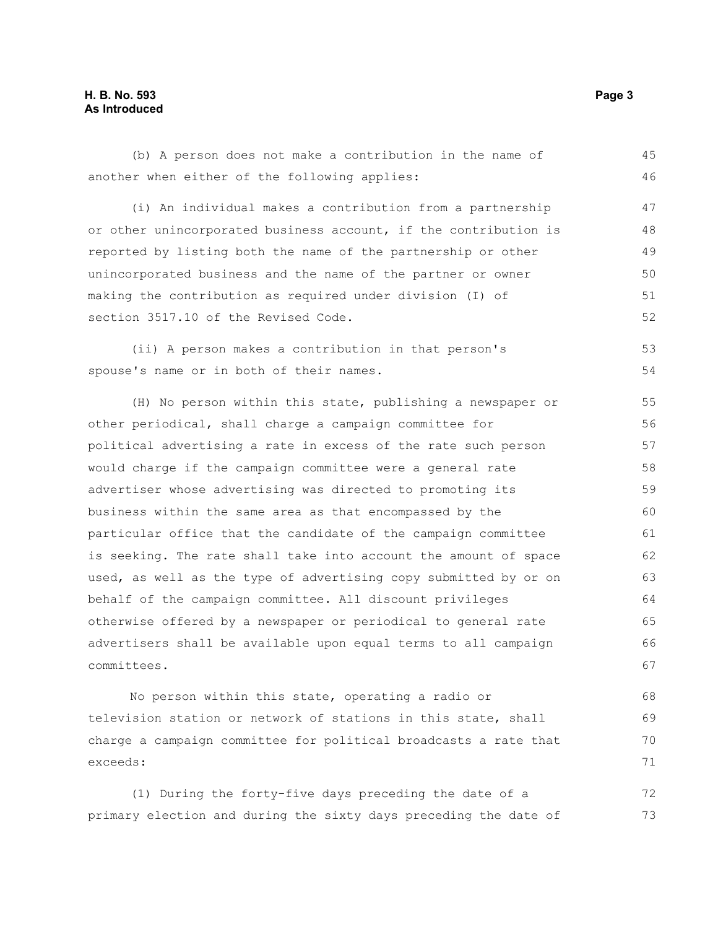#### **H. B. No. 593 Page 3 As Introduced**

exceeds:

(b) A person does not make a contribution in the name of another when either of the following applies: (i) An individual makes a contribution from a partnership or other unincorporated business account, if the contribution is reported by listing both the name of the partnership or other unincorporated business and the name of the partner or owner making the contribution as required under division (I) of section 3517.10 of the Revised Code. (ii) A person makes a contribution in that person's spouse's name or in both of their names. (H) No person within this state, publishing a newspaper or other periodical, shall charge a campaign committee for political advertising a rate in excess of the rate such person would charge if the campaign committee were a general rate advertiser whose advertising was directed to promoting its business within the same area as that encompassed by the particular office that the candidate of the campaign committee is seeking. The rate shall take into account the amount of space used, as well as the type of advertising copy submitted by or on behalf of the campaign committee. All discount privileges otherwise offered by a newspaper or periodical to general rate advertisers shall be available upon equal terms to all campaign committees. No person within this state, operating a radio or television station or network of stations in this state, shall charge a campaign committee for political broadcasts a rate that 45 46 47 48 49 50 51 52 53 54 55 56 57 58 59 60 61 62 63 64 65 66 67 68 69 70

(1) During the forty-five days preceding the date of a primary election and during the sixty days preceding the date of 72 73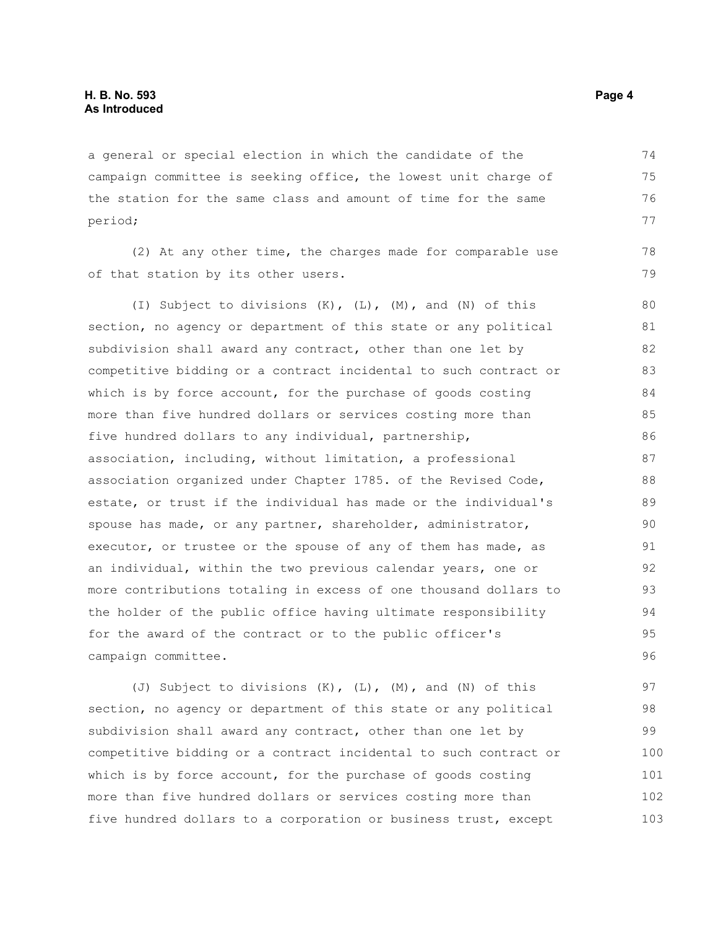a general or special election in which the candidate of the campaign committee is seeking office, the lowest unit charge of the station for the same class and amount of time for the same period;

(2) At any other time, the charges made for comparable use of that station by its other users.

(I) Subject to divisions (K), (L), (M), and (N) of this section, no agency or department of this state or any political subdivision shall award any contract, other than one let by competitive bidding or a contract incidental to such contract or which is by force account, for the purchase of goods costing more than five hundred dollars or services costing more than five hundred dollars to any individual, partnership, association, including, without limitation, a professional association organized under Chapter 1785. of the Revised Code, estate, or trust if the individual has made or the individual's spouse has made, or any partner, shareholder, administrator, executor, or trustee or the spouse of any of them has made, as an individual, within the two previous calendar years, one or more contributions totaling in excess of one thousand dollars to the holder of the public office having ultimate responsibility for the award of the contract or to the public officer's campaign committee. 80 81 82 83 84 85 86 87 88 89 90 91 92 93 94 95 96

(J) Subject to divisions (K), (L), (M), and (N) of this section, no agency or department of this state or any political subdivision shall award any contract, other than one let by competitive bidding or a contract incidental to such contract or which is by force account, for the purchase of goods costing more than five hundred dollars or services costing more than five hundred dollars to a corporation or business trust, except 97 98 99 100 101 102 103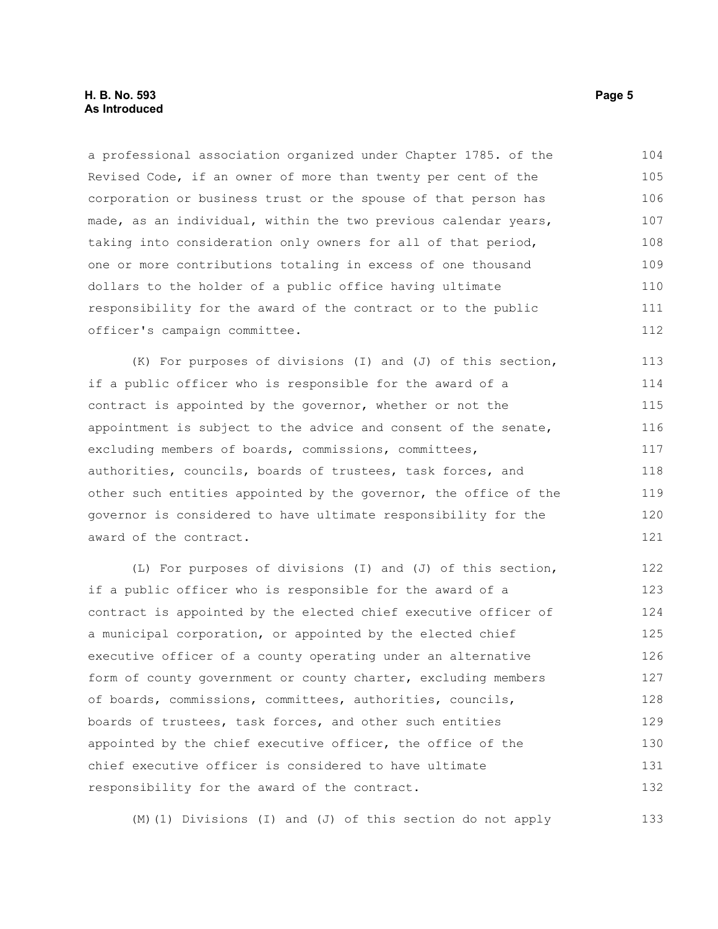#### **H. B. No. 593 Page 5 As Introduced**

a professional association organized under Chapter 1785. of the Revised Code, if an owner of more than twenty per cent of the corporation or business trust or the spouse of that person has made, as an individual, within the two previous calendar years, taking into consideration only owners for all of that period, one or more contributions totaling in excess of one thousand dollars to the holder of a public office having ultimate responsibility for the award of the contract or to the public officer's campaign committee. 104 105 106 107 108 109 110 111 112

(K) For purposes of divisions (I) and (J) of this section, if a public officer who is responsible for the award of a contract is appointed by the governor, whether or not the appointment is subject to the advice and consent of the senate, excluding members of boards, commissions, committees, authorities, councils, boards of trustees, task forces, and other such entities appointed by the governor, the office of the governor is considered to have ultimate responsibility for the award of the contract. 113 114 115 116 117 118 119 120 121

(L) For purposes of divisions (I) and (J) of this section, if a public officer who is responsible for the award of a contract is appointed by the elected chief executive officer of a municipal corporation, or appointed by the elected chief executive officer of a county operating under an alternative form of county government or county charter, excluding members of boards, commissions, committees, authorities, councils, boards of trustees, task forces, and other such entities appointed by the chief executive officer, the office of the chief executive officer is considered to have ultimate responsibility for the award of the contract. 122 123 124 125 126 127 128 129 130 131 132

(M)(1) Divisions (I) and (J) of this section do not apply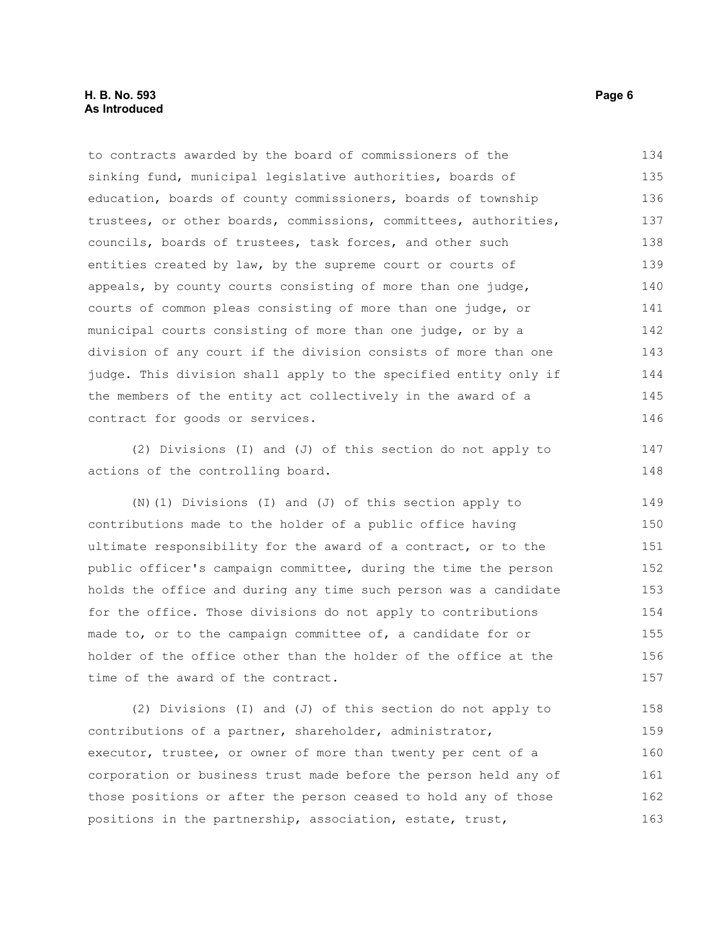to contracts awarded by the board of commissioners of the sinking fund, municipal legislative authorities, boards of education, boards of county commissioners, boards of township trustees, or other boards, commissions, committees, authorities, councils, boards of trustees, task forces, and other such entities created by law, by the supreme court or courts of appeals, by county courts consisting of more than one judge, courts of common pleas consisting of more than one judge, or municipal courts consisting of more than one judge, or by a division of any court if the division consists of more than one judge. This division shall apply to the specified entity only if the members of the entity act collectively in the award of a contract for goods or services. 134 135 136 137 138 139 140 141 142 143 144 145 146

(2) Divisions (I) and (J) of this section do not apply to actions of the controlling board.

(N)(1) Divisions (I) and (J) of this section apply to contributions made to the holder of a public office having ultimate responsibility for the award of a contract, or to the public officer's campaign committee, during the time the person holds the office and during any time such person was a candidate for the office. Those divisions do not apply to contributions made to, or to the campaign committee of, a candidate for or holder of the office other than the holder of the office at the time of the award of the contract. 149 150 151 152 153 154 155 156 157

(2) Divisions (I) and (J) of this section do not apply to contributions of a partner, shareholder, administrator, executor, trustee, or owner of more than twenty per cent of a corporation or business trust made before the person held any of those positions or after the person ceased to hold any of those positions in the partnership, association, estate, trust, 158 159 160 161 162 163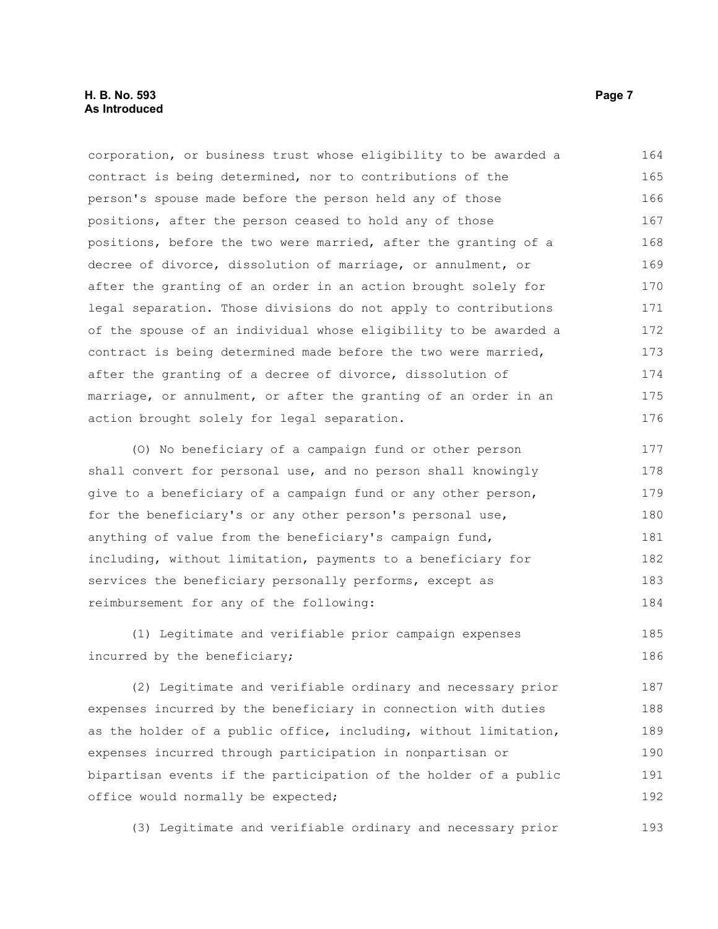corporation, or business trust whose eligibility to be awarded a contract is being determined, nor to contributions of the person's spouse made before the person held any of those positions, after the person ceased to hold any of those positions, before the two were married, after the granting of a decree of divorce, dissolution of marriage, or annulment, or after the granting of an order in an action brought solely for legal separation. Those divisions do not apply to contributions of the spouse of an individual whose eligibility to be awarded a contract is being determined made before the two were married, after the granting of a decree of divorce, dissolution of marriage, or annulment, or after the granting of an order in an action brought solely for legal separation. (O) No beneficiary of a campaign fund or other person shall convert for personal use, and no person shall knowingly give to a beneficiary of a campaign fund or any other person, for the beneficiary's or any other person's personal use, anything of value from the beneficiary's campaign fund, including, without limitation, payments to a beneficiary for 164 165 166 167 168 169 170 171 172 173 174 175 176 177 178 179 180 181 182

services the beneficiary personally performs, except as reimbursement for any of the following: 183 184

(1) Legitimate and verifiable prior campaign expenses incurred by the beneficiary; 185 186

(2) Legitimate and verifiable ordinary and necessary prior expenses incurred by the beneficiary in connection with duties as the holder of a public office, including, without limitation, expenses incurred through participation in nonpartisan or bipartisan events if the participation of the holder of a public office would normally be expected; 187 188 189 190 191 192

(3) Legitimate and verifiable ordinary and necessary prior 193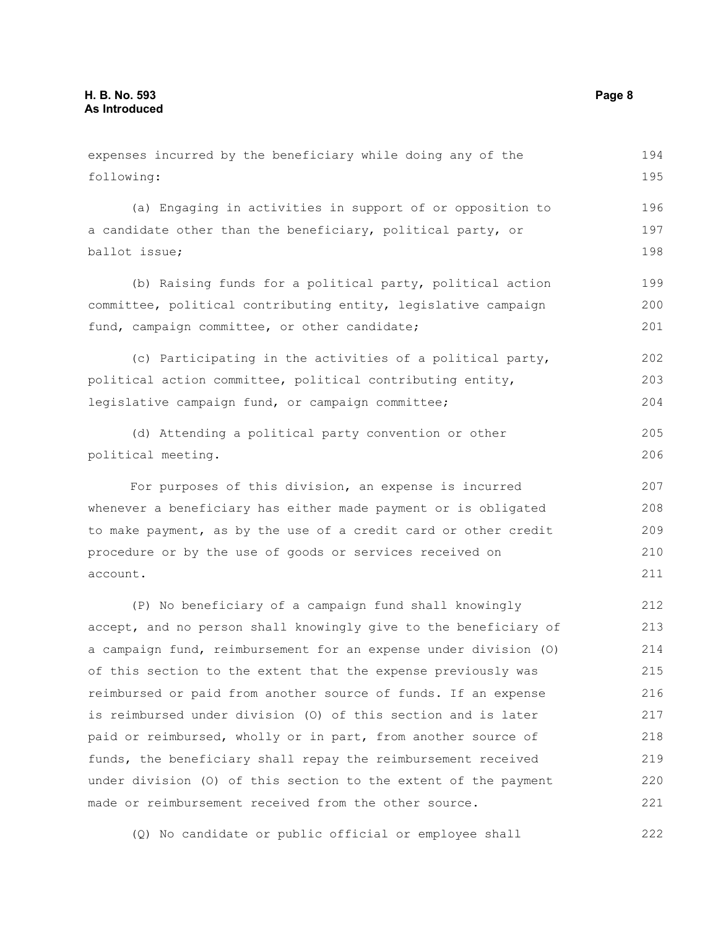following: (a) Engaging in activities in support of or opposition to a candidate other than the beneficiary, political party, or ballot issue; (b) Raising funds for a political party, political action committee, political contributing entity, legislative campaign fund, campaign committee, or other candidate; (c) Participating in the activities of a political party, political action committee, political contributing entity, legislative campaign fund, or campaign committee; (d) Attending a political party convention or other political meeting. For purposes of this division, an expense is incurred whenever a beneficiary has either made payment or is obligated to make payment, as by the use of a credit card or other credit procedure or by the use of goods or services received on account. (P) No beneficiary of a campaign fund shall knowingly accept, and no person shall knowingly give to the beneficiary of a campaign fund, reimbursement for an expense under division (O) of this section to the extent that the expense previously was reimbursed or paid from another source of funds. If an expense is reimbursed under division (O) of this section and is later paid or reimbursed, wholly or in part, from another source of funds, the beneficiary shall repay the reimbursement received 195 196 197 198 199 200 201 202 203 204 205 206 207 208 209 210 211 212 213 214 215 216 217 218 219

expenses incurred by the beneficiary while doing any of the

under division (O) of this section to the extent of the payment made or reimbursement received from the other source. 220 221

(Q) No candidate or public official or employee shall 222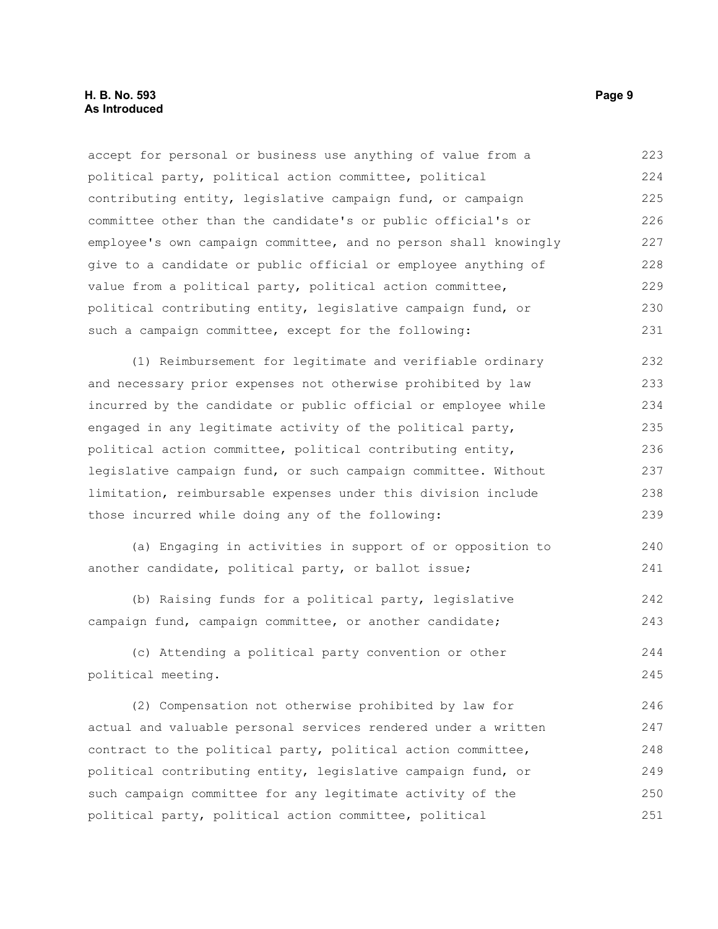accept for personal or business use anything of value from a political party, political action committee, political contributing entity, legislative campaign fund, or campaign committee other than the candidate's or public official's or employee's own campaign committee, and no person shall knowingly give to a candidate or public official or employee anything of value from a political party, political action committee, political contributing entity, legislative campaign fund, or such a campaign committee, except for the following: 223 224 225 226 227 228 229 230 231

(1) Reimbursement for legitimate and verifiable ordinary and necessary prior expenses not otherwise prohibited by law incurred by the candidate or public official or employee while engaged in any legitimate activity of the political party, political action committee, political contributing entity, legislative campaign fund, or such campaign committee. Without limitation, reimbursable expenses under this division include those incurred while doing any of the following: 232 233 234 235 236 237 238 239

(a) Engaging in activities in support of or opposition to another candidate, political party, or ballot issue; 240 241

(b) Raising funds for a political party, legislative campaign fund, campaign committee, or another candidate; 242 243

(c) Attending a political party convention or other political meeting. 244 245

(2) Compensation not otherwise prohibited by law for actual and valuable personal services rendered under a written contract to the political party, political action committee, political contributing entity, legislative campaign fund, or such campaign committee for any legitimate activity of the political party, political action committee, political 246 247 248 249 250 251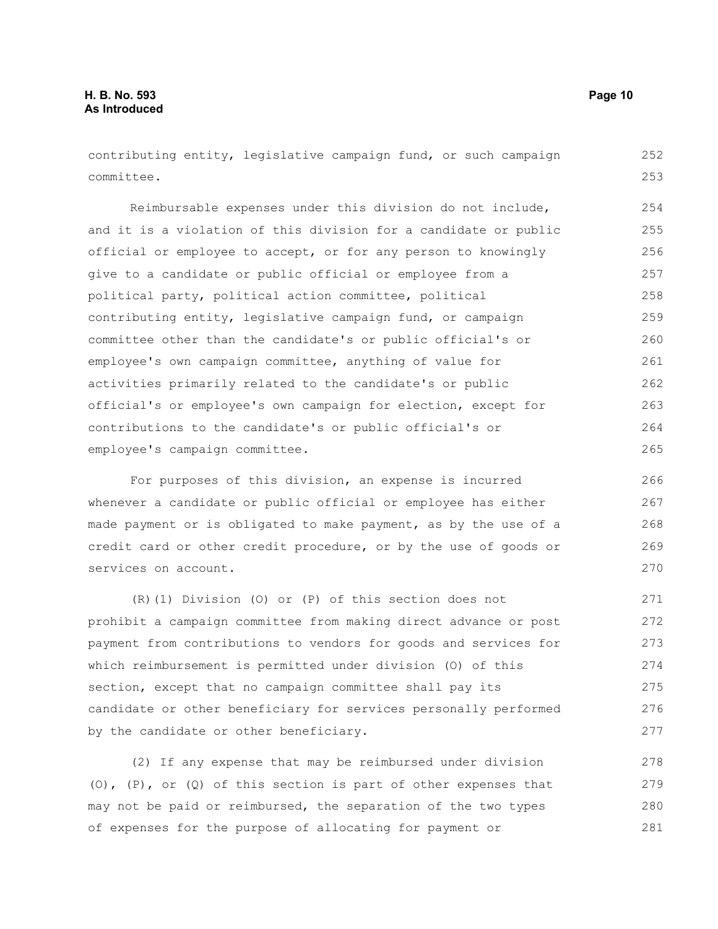contributing entity, legislative campaign fund, or such campaign committee. 252 253

Reimbursable expenses under this division do not include, and it is a violation of this division for a candidate or public official or employee to accept, or for any person to knowingly give to a candidate or public official or employee from a political party, political action committee, political contributing entity, legislative campaign fund, or campaign committee other than the candidate's or public official's or employee's own campaign committee, anything of value for activities primarily related to the candidate's or public official's or employee's own campaign for election, except for contributions to the candidate's or public official's or employee's campaign committee. 254 255 256 257 258 259 260 261 262 263 264 265

For purposes of this division, an expense is incurred whenever a candidate or public official or employee has either made payment or is obligated to make payment, as by the use of a credit card or other credit procedure, or by the use of goods or services on account.

(R)(1) Division (O) or (P) of this section does not prohibit a campaign committee from making direct advance or post payment from contributions to vendors for goods and services for which reimbursement is permitted under division (O) of this section, except that no campaign committee shall pay its candidate or other beneficiary for services personally performed by the candidate or other beneficiary. 271 272 273 274 275 276 277

(2) If any expense that may be reimbursed under division (O), (P), or (Q) of this section is part of other expenses that may not be paid or reimbursed, the separation of the two types of expenses for the purpose of allocating for payment or 278 279 280 281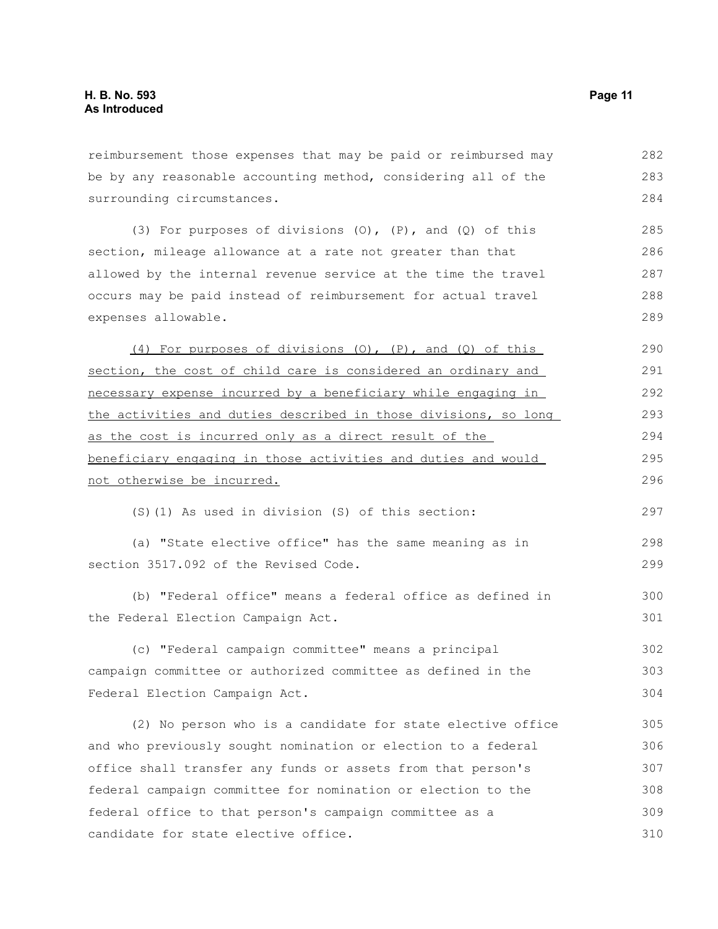reimbursement those expenses that may be paid or reimbursed may be by any reasonable accounting method, considering all of the surrounding circumstances. 282 283 284

(3) For purposes of divisions (O), (P), and (Q) of this section, mileage allowance at a rate not greater than that allowed by the internal revenue service at the time the travel occurs may be paid instead of reimbursement for actual travel expenses allowable. 285 286 287 288 289

(4) For purposes of divisions (O), (P), and (Q) of this section, the cost of child care is considered an ordinary and necessary expense incurred by a beneficiary while engaging in the activities and duties described in those divisions, so long as the cost is incurred only as a direct result of the beneficiary engaging in those activities and duties and would not otherwise be incurred. 290 291 292 293 294 295 296

(S)(1) As used in division (S) of this section:

(a) "State elective office" has the same meaning as in section 3517.092 of the Revised Code. 298 299

(b) "Federal office" means a federal office as defined in the Federal Election Campaign Act.

(c) "Federal campaign committee" means a principal campaign committee or authorized committee as defined in the Federal Election Campaign Act. 302 303 304

(2) No person who is a candidate for state elective office and who previously sought nomination or election to a federal office shall transfer any funds or assets from that person's federal campaign committee for nomination or election to the federal office to that person's campaign committee as a candidate for state elective office. 305 306 307 308 309 310

297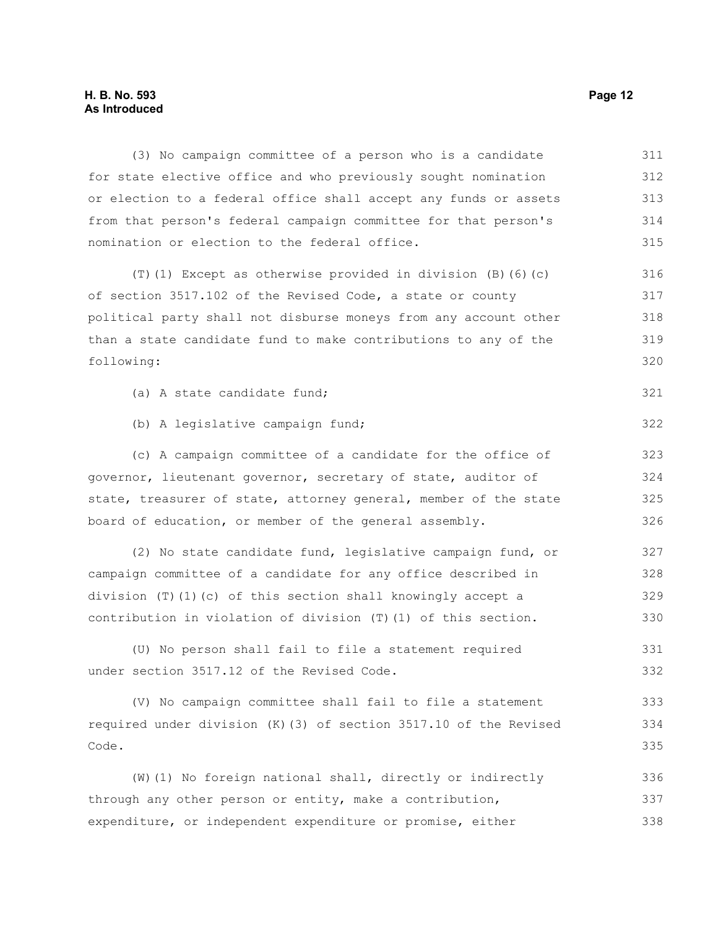## **H. B. No. 593 Page 12 As Introduced**

| (3) No campaign committee of a person who is a candidate          | 311 |
|-------------------------------------------------------------------|-----|
| for state elective office and who previously sought nomination    | 312 |
| or election to a federal office shall accept any funds or assets  | 313 |
| from that person's federal campaign committee for that person's   | 314 |
| nomination or election to the federal office.                     | 315 |
| $(T)$ (1) Except as otherwise provided in division (B) (6) (c)    | 316 |
| of section 3517.102 of the Revised Code, a state or county        | 317 |
| political party shall not disburse moneys from any account other  | 318 |
| than a state candidate fund to make contributions to any of the   | 319 |
| following:                                                        | 320 |
| (a) A state candidate fund;                                       | 321 |
| (b) A legislative campaign fund;                                  | 322 |
| (c) A campaign committee of a candidate for the office of         | 323 |
| governor, lieutenant governor, secretary of state, auditor of     | 324 |
| state, treasurer of state, attorney general, member of the state  | 325 |
| board of education, or member of the general assembly.            | 326 |
| (2) No state candidate fund, legislative campaign fund, or        | 327 |
| campaign committee of a candidate for any office described in     | 328 |
| division $(T)$ (1) (c) of this section shall knowingly accept a   | 329 |
| contribution in violation of division (T) (1) of this section.    | 330 |
| (U) No person shall fail to file a statement required             | 331 |
| under section 3517.12 of the Revised Code.                        | 332 |
| (V) No campaign committee shall fail to file a statement          | 333 |
| required under division (K) (3) of section 3517.10 of the Revised | 334 |
| Code.                                                             | 335 |
| (W) (1) No foreign national shall, directly or indirectly         | 336 |
| through any other person or entity, make a contribution,          | 337 |
| expenditure, or independent expenditure or promise, either        | 338 |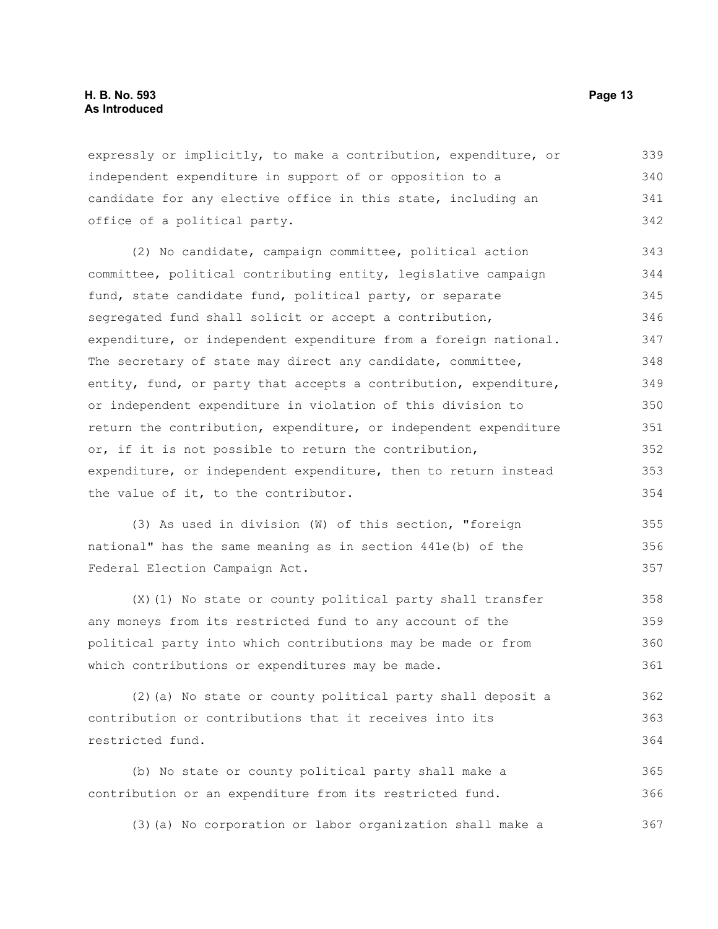expressly or implicitly, to make a contribution, expenditure, or independent expenditure in support of or opposition to a candidate for any elective office in this state, including an office of a political party. 339 340 341 342

(2) No candidate, campaign committee, political action committee, political contributing entity, legislative campaign fund, state candidate fund, political party, or separate segregated fund shall solicit or accept a contribution, expenditure, or independent expenditure from a foreign national. The secretary of state may direct any candidate, committee, entity, fund, or party that accepts a contribution, expenditure, or independent expenditure in violation of this division to return the contribution, expenditure, or independent expenditure or, if it is not possible to return the contribution, expenditure, or independent expenditure, then to return instead the value of it, to the contributor. 343 344 345 346 347 348 349 350 351 352 353 354

(3) As used in division (W) of this section, "foreign national" has the same meaning as in section 441e(b) of the Federal Election Campaign Act. 355 356 357

(X)(1) No state or county political party shall transfer any moneys from its restricted fund to any account of the political party into which contributions may be made or from which contributions or expenditures may be made. 358 359 360 361

(2)(a) No state or county political party shall deposit a contribution or contributions that it receives into its restricted fund. 362 363 364

(b) No state or county political party shall make a contribution or an expenditure from its restricted fund. 365 366

(3)(a) No corporation or labor organization shall make a 367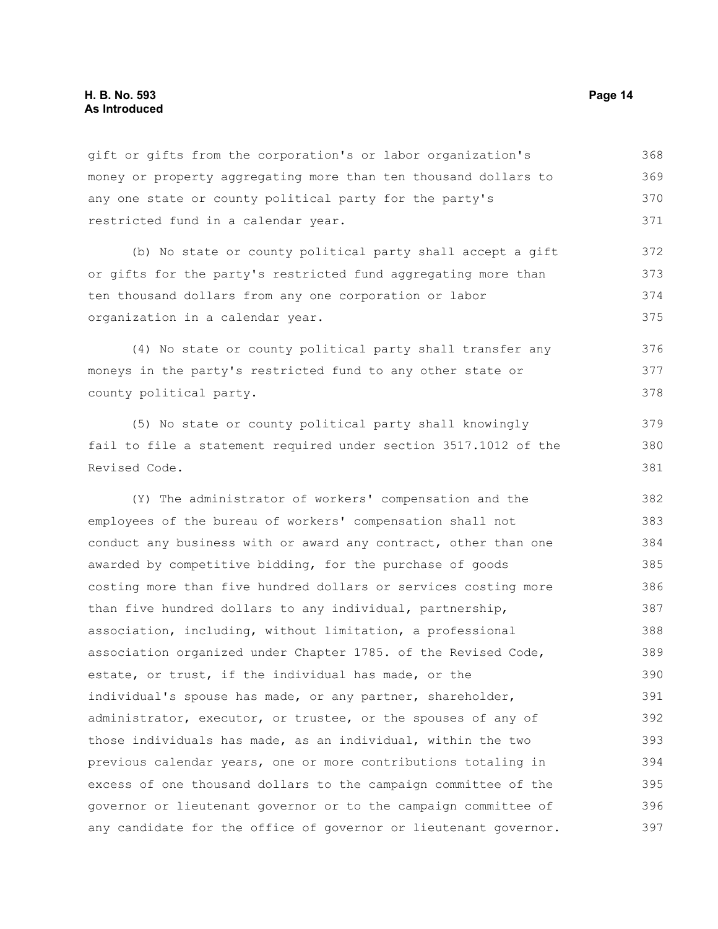#### **H. B. No. 593 Page 14 As Introduced**

gift or gifts from the corporation's or labor organization's money or property aggregating more than ten thousand dollars to any one state or county political party for the party's restricted fund in a calendar year. 368 369 370 371

(b) No state or county political party shall accept a gift or gifts for the party's restricted fund aggregating more than ten thousand dollars from any one corporation or labor organization in a calendar year. 372 373 374 375

(4) No state or county political party shall transfer any moneys in the party's restricted fund to any other state or county political party. 376 377 378

(5) No state or county political party shall knowingly fail to file a statement required under section 3517.1012 of the Revised Code.

(Y) The administrator of workers' compensation and the employees of the bureau of workers' compensation shall not conduct any business with or award any contract, other than one awarded by competitive bidding, for the purchase of goods costing more than five hundred dollars or services costing more than five hundred dollars to any individual, partnership, association, including, without limitation, a professional association organized under Chapter 1785. of the Revised Code, estate, or trust, if the individual has made, or the individual's spouse has made, or any partner, shareholder, administrator, executor, or trustee, or the spouses of any of those individuals has made, as an individual, within the two previous calendar years, one or more contributions totaling in excess of one thousand dollars to the campaign committee of the governor or lieutenant governor or to the campaign committee of any candidate for the office of governor or lieutenant governor. 382 383 384 385 386 387 388 389 390 391 392 393 394 395 396 397